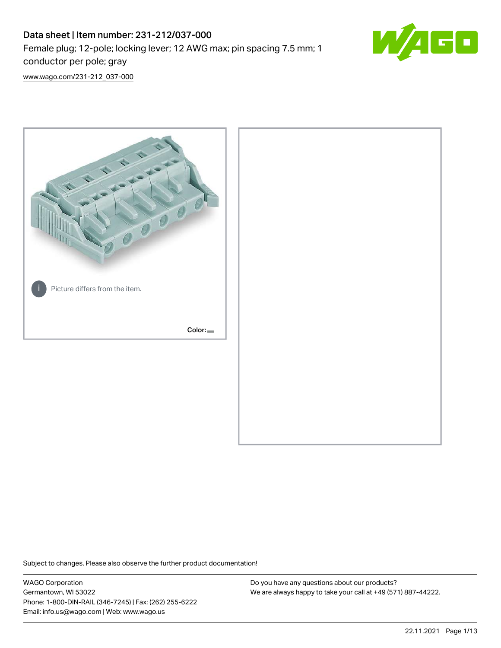# Data sheet | Item number: 231-212/037-000 Female plug; 12-pole; locking lever; 12 AWG max; pin spacing 7.5 mm; 1 conductor per pole; gray



[www.wago.com/231-212\\_037-000](http://www.wago.com/231-212_037-000)



Subject to changes. Please also observe the further product documentation!

WAGO Corporation Germantown, WI 53022 Phone: 1-800-DIN-RAIL (346-7245) | Fax: (262) 255-6222 Email: info.us@wago.com | Web: www.wago.us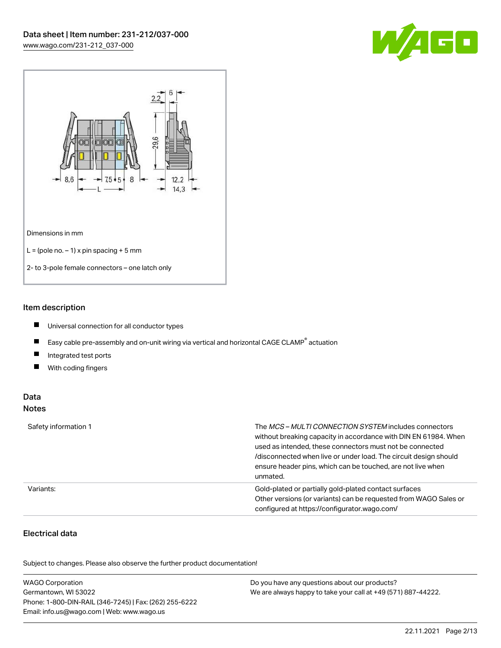



## Item description

- $\blacksquare$ Universal connection for all conductor types
- $\blacksquare$ Easy cable pre-assembly and on-unit wiring via vertical and horizontal CAGE CLAMP<sup>®</sup> actuation
- $\blacksquare$ Integrated test ports
- $\blacksquare$ With coding fingers

## Data Notes

| Safety information 1 | The <i>MCS – MULTI CONNECTION SYSTEM</i> includes connectors<br>without breaking capacity in accordance with DIN EN 61984. When<br>used as intended, these connectors must not be connected<br>/disconnected when live or under load. The circuit design should<br>ensure header pins, which can be touched, are not live when<br>unmated. |
|----------------------|--------------------------------------------------------------------------------------------------------------------------------------------------------------------------------------------------------------------------------------------------------------------------------------------------------------------------------------------|
| Variants:            | Gold-plated or partially gold-plated contact surfaces<br>Other versions (or variants) can be requested from WAGO Sales or<br>configured at https://configurator.wago.com/                                                                                                                                                                  |

# Electrical data

.<br>Subject to changes. Please also observe the further product documentation!

| <b>WAGO Corporation</b>                                | Do you have any questions about our products?                 |
|--------------------------------------------------------|---------------------------------------------------------------|
| Germantown, WI 53022                                   | We are always happy to take your call at +49 (571) 887-44222. |
| Phone: 1-800-DIN-RAIL (346-7245)   Fax: (262) 255-6222 |                                                               |
| Email: info.us@wago.com   Web: www.wago.us             |                                                               |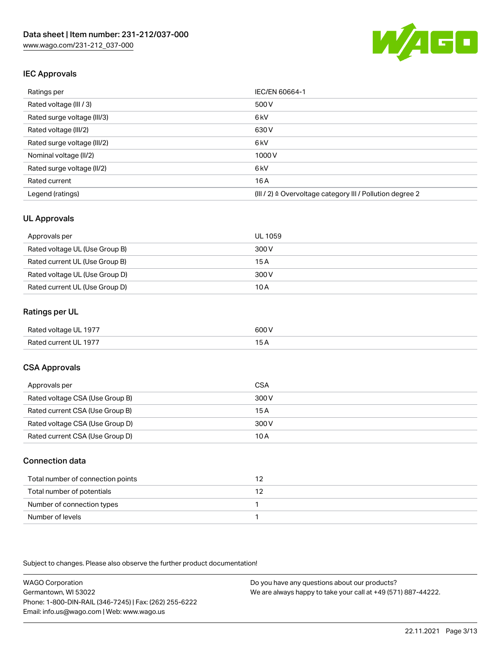

## IEC Approvals

| Ratings per                 | IEC/EN 60664-1                                            |
|-----------------------------|-----------------------------------------------------------|
| Rated voltage (III / 3)     | 500 V                                                     |
| Rated surge voltage (III/3) | 6 <sub>kV</sub>                                           |
| Rated voltage (III/2)       | 630 V                                                     |
| Rated surge voltage (III/2) | 6 <sub>kV</sub>                                           |
| Nominal voltage (II/2)      | 1000 V                                                    |
| Rated surge voltage (II/2)  | 6 <sub>kV</sub>                                           |
| Rated current               | 16A                                                       |
| Legend (ratings)            | (III / 2) ≙ Overvoltage category III / Pollution degree 2 |

## UL Approvals

| Approvals per                  | UL 1059 |
|--------------------------------|---------|
| Rated voltage UL (Use Group B) | 300 V   |
| Rated current UL (Use Group B) | 15 A    |
| Rated voltage UL (Use Group D) | 300 V   |
| Rated current UL (Use Group D) | 10 A    |

## Ratings per UL

| Rated voltage UL 1977 | 600 V |
|-----------------------|-------|
| Rated current UL 1977 |       |

## CSA Approvals

| Approvals per                   | CSA   |
|---------------------------------|-------|
| Rated voltage CSA (Use Group B) | 300 V |
| Rated current CSA (Use Group B) | 15 A  |
| Rated voltage CSA (Use Group D) | 300 V |
| Rated current CSA (Use Group D) | 10 A  |

#### Connection data

| Total number of connection points |  |
|-----------------------------------|--|
| Total number of potentials        |  |
| Number of connection types        |  |
| Number of levels                  |  |

Subject to changes. Please also observe the further product documentation!

WAGO Corporation Germantown, WI 53022 Phone: 1-800-DIN-RAIL (346-7245) | Fax: (262) 255-6222 Email: info.us@wago.com | Web: www.wago.us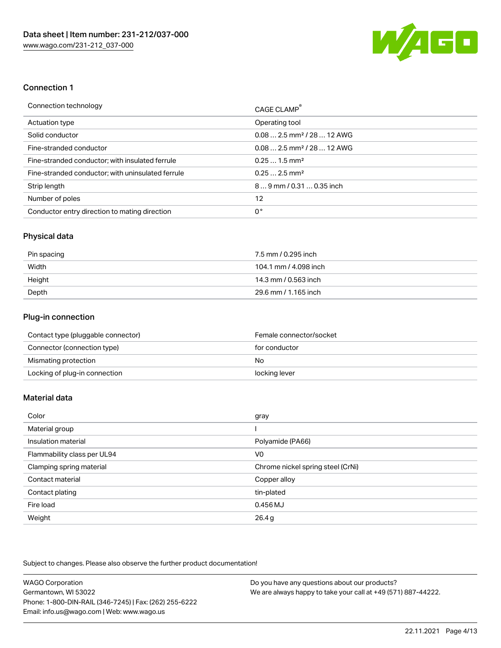

## Connection 1

| Connection technology                             | CAGE CLAMP®                             |
|---------------------------------------------------|-----------------------------------------|
| <b>Actuation type</b>                             | Operating tool                          |
| Solid conductor                                   | $0.08$ 2.5 mm <sup>2</sup> / 28  12 AWG |
| Fine-stranded conductor                           | $0.08$ 2.5 mm <sup>2</sup> / 28  12 AWG |
| Fine-stranded conductor; with insulated ferrule   | $0.251.5$ mm <sup>2</sup>               |
| Fine-stranded conductor; with uninsulated ferrule | $0.252.5$ mm <sup>2</sup>               |
| Strip length                                      | 89 mm / 0.31  0.35 inch                 |
| Number of poles                                   | 12                                      |
| Conductor entry direction to mating direction     | 0°                                      |

## Physical data

| Pin spacing | 7.5 mm / 0.295 inch   |
|-------------|-----------------------|
| Width       | 104.1 mm / 4.098 inch |
| Height      | 14.3 mm / 0.563 inch  |
| Depth       | 29.6 mm / 1.165 inch  |

# Plug-in connection

| Contact type (pluggable connector) | Female connector/socket |
|------------------------------------|-------------------------|
| Connector (connection type)        | for conductor           |
| Mismating protection               | No                      |
| Locking of plug-in connection      | locking lever           |

# Material data

| Color                       | gray                              |
|-----------------------------|-----------------------------------|
| Material group              |                                   |
| Insulation material         | Polyamide (PA66)                  |
| Flammability class per UL94 | V <sub>0</sub>                    |
| Clamping spring material    | Chrome nickel spring steel (CrNi) |
| Contact material            | Copper alloy                      |
| Contact plating             | tin-plated                        |
| Fire load                   | 0.456 MJ                          |
| Weight                      | 26.4g                             |

Subject to changes. Please also observe the further product documentation!

| <b>WAGO Corporation</b>                                | Do you have any questions about our products?                 |
|--------------------------------------------------------|---------------------------------------------------------------|
| Germantown, WI 53022                                   | We are always happy to take your call at +49 (571) 887-44222. |
| Phone: 1-800-DIN-RAIL (346-7245)   Fax: (262) 255-6222 |                                                               |
| Email: info.us@wago.com   Web: www.wago.us             |                                                               |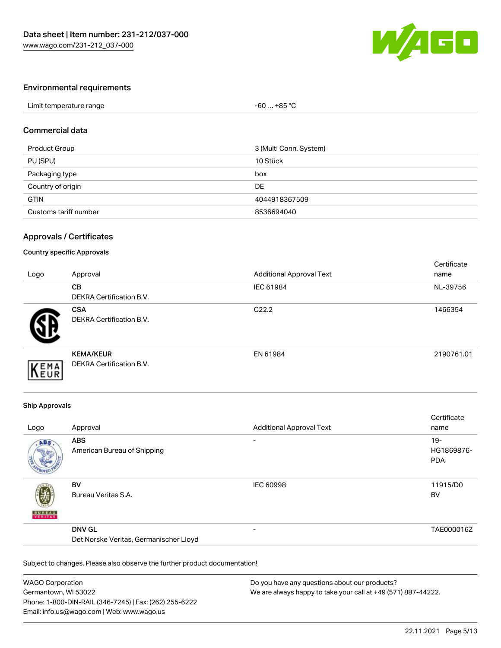

## Environmental requirements

| Limit temperature range | +85 °C<br>-60 |  |
|-------------------------|---------------|--|
|                         |               |  |

#### Commercial data

| Product Group         | 3 (Multi Conn. System) |
|-----------------------|------------------------|
| PU (SPU)              | 10 Stück               |
| Packaging type        | box                    |
| Country of origin     | DE                     |
| <b>GTIN</b>           | 4044918367509          |
| Customs tariff number | 8536694040             |

#### Approvals / Certificates

#### Country specific Approvals

| Logo | Approval                                            | <b>Additional Approval Text</b> | Certificate<br>name |
|------|-----------------------------------------------------|---------------------------------|---------------------|
|      | <b>CB</b><br>DEKRA Certification B.V.               | IEC 61984                       | NL-39756            |
|      | <b>CSA</b><br><b>DEKRA Certification B.V.</b>       | C <sub>22.2</sub>               | 1466354             |
| EMA  | <b>KEMA/KEUR</b><br><b>DEKRA Certification B.V.</b> | EN 61984                        | 2190761.01          |

#### Ship Approvals

| Logo          | Approval                                                | <b>Additional Approval Text</b> | Certificate<br>name                |
|---------------|---------------------------------------------------------|---------------------------------|------------------------------------|
| ABS           | <b>ABS</b><br>American Bureau of Shipping               | $\overline{\phantom{a}}$        | $19 -$<br>HG1869876-<br><b>PDA</b> |
| <b>BUNEAU</b> | <b>BV</b><br>Bureau Veritas S.A.                        | <b>IEC 60998</b>                | 11915/D0<br><b>BV</b>              |
|               | <b>DNV GL</b><br>Det Norske Veritas, Germanischer Lloyd | $\overline{\phantom{0}}$        | TAE000016Z                         |

Subject to changes. Please also observe the further product documentation!

| WAGO Corporation                                       | Do you have any questions about our products?                 |
|--------------------------------------------------------|---------------------------------------------------------------|
| Germantown, WI 53022                                   | We are always happy to take your call at +49 (571) 887-44222. |
| Phone: 1-800-DIN-RAIL (346-7245)   Fax: (262) 255-6222 |                                                               |
| Email: info.us@wago.com   Web: www.wago.us             |                                                               |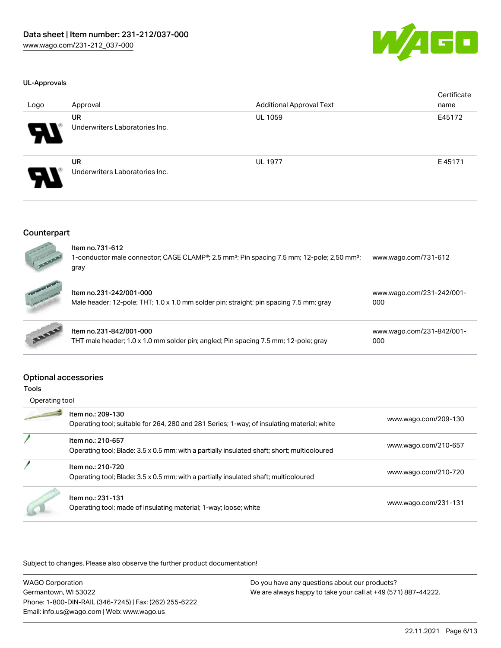

#### UL-Approvals

| Logo                       | Approval                                    | <b>Additional Approval Text</b> | Certificate<br>name |
|----------------------------|---------------------------------------------|---------------------------------|---------------------|
| $\boldsymbol{\theta}$      | <b>UR</b><br>Underwriters Laboratories Inc. | <b>UL 1059</b>                  | E45172              |
| $\boldsymbol{\mathcal{A}}$ | <b>UR</b><br>Underwriters Laboratories Inc. | <b>UL 1977</b>                  | E45171              |

#### Counterpart



| Item no.731-612<br>1-conductor male connector; CAGE CLAMP <sup>®</sup> ; 2.5 mm <sup>2</sup> ; Pin spacing 7.5 mm; 12-pole; 2,50 mm <sup>2</sup> ;<br>gray | www.wago.com/731-612             |
|------------------------------------------------------------------------------------------------------------------------------------------------------------|----------------------------------|
| Item no.231-242/001-000<br>Male header; 12-pole; THT; 1.0 x 1.0 mm solder pin; straight; pin spacing 7.5 mm; gray                                          | www.wago.com/231-242/001-<br>000 |
| Item no.231-842/001-000<br>THT male header; 1.0 x 1.0 mm solder pin; angled; Pin spacing 7.5 mm; 12-pole; gray                                             | www.wago.com/231-842/001-<br>000 |

#### Optional accessories

| Operating tool |                                                                                                                  |                      |
|----------------|------------------------------------------------------------------------------------------------------------------|----------------------|
|                | Item no.: 209-130<br>Operating tool; suitable for 264, 280 and 281 Series; 1-way; of insulating material; white  | www.wago.com/209-130 |
|                | Item no.: 210-657<br>Operating tool; Blade: 3.5 x 0.5 mm; with a partially insulated shaft; short; multicoloured | www.wago.com/210-657 |
|                | Item no.: 210-720<br>Operating tool; Blade: 3.5 x 0.5 mm; with a partially insulated shaft; multicoloured        | www.wago.com/210-720 |
|                | Item no.: 231-131<br>Operating tool; made of insulating material; 1-way; loose; white                            | www.wago.com/231-131 |

Subject to changes. Please also observe the further product documentation!

WAGO Corporation Germantown, WI 53022 Phone: 1-800-DIN-RAIL (346-7245) | Fax: (262) 255-6222 Email: info.us@wago.com | Web: www.wago.us Do you have any questions about our products? We are always happy to take your call at +49 (571) 887-44222.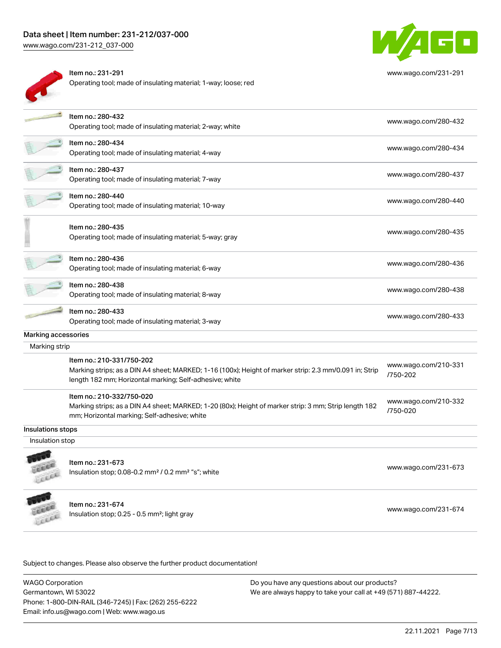# Data sheet | Item number: 231-212/037-000

[www.wago.com/231-212\\_037-000](http://www.wago.com/231-212_037-000)



| ltem no.: 231-291                                              |
|----------------------------------------------------------------|
| Operating tool; made of insulating material; 1-way; loose; red |



[www.wago.com/231-291](http://www.wago.com/231-291)

|                     | Item no.: 280-432<br>Operating tool; made of insulating material; 2-way; white                                                                                                                 | www.wago.com/280-432             |
|---------------------|------------------------------------------------------------------------------------------------------------------------------------------------------------------------------------------------|----------------------------------|
|                     | Item no.: 280-434<br>Operating tool; made of insulating material; 4-way                                                                                                                        | www.wago.com/280-434             |
|                     | Item no.: 280-437<br>Operating tool; made of insulating material; 7-way                                                                                                                        | www.wago.com/280-437             |
|                     | Item no.: 280-440<br>Operating tool; made of insulating material; 10-way                                                                                                                       | www.wago.com/280-440             |
|                     | Item no.: 280-435<br>Operating tool; made of insulating material; 5-way; gray                                                                                                                  | www.wago.com/280-435             |
|                     | Item no.: 280-436<br>Operating tool; made of insulating material; 6-way                                                                                                                        | www.wago.com/280-436             |
|                     | Item no.: 280-438<br>Operating tool; made of insulating material; 8-way                                                                                                                        | www.wago.com/280-438             |
|                     | Item no.: 280-433<br>Operating tool; made of insulating material; 3-way                                                                                                                        | www.wago.com/280-433             |
| Marking accessories |                                                                                                                                                                                                |                                  |
| Marking strip       |                                                                                                                                                                                                |                                  |
|                     | Item no.: 210-331/750-202<br>Marking strips; as a DIN A4 sheet; MARKED; 1-16 (100x); Height of marker strip: 2.3 mm/0.091 in; Strip<br>length 182 mm; Horizontal marking; Self-adhesive; white | www.wago.com/210-331<br>/750-202 |
|                     | Item no.: 210-332/750-020<br>Marking strips; as a DIN A4 sheet; MARKED; 1-20 (80x); Height of marker strip: 3 mm; Strip length 182<br>mm; Horizontal marking; Self-adhesive; white             | www.wago.com/210-332<br>/750-020 |
| Insulations stops   |                                                                                                                                                                                                |                                  |
| Insulation stop     |                                                                                                                                                                                                |                                  |
| Lecce               | Item no.: 231-673<br>Insulation stop; 0.08-0.2 mm <sup>2</sup> / 0.2 mm <sup>2</sup> "s"; white                                                                                                | www.wago.com/231-673             |
|                     | Item no.: 231-674<br>Insulation stop; 0.25 - 0.5 mm <sup>2</sup> ; light gray                                                                                                                  | www.wago.com/231-674             |
|                     |                                                                                                                                                                                                |                                  |

Subject to changes. Please also observe the further product documentation!

WAGO Corporation Germantown, WI 53022 Phone: 1-800-DIN-RAIL (346-7245) | Fax: (262) 255-6222 Email: info.us@wago.com | Web: www.wago.us Do you have any questions about our products? We are always happy to take your call at +49 (571) 887-44222.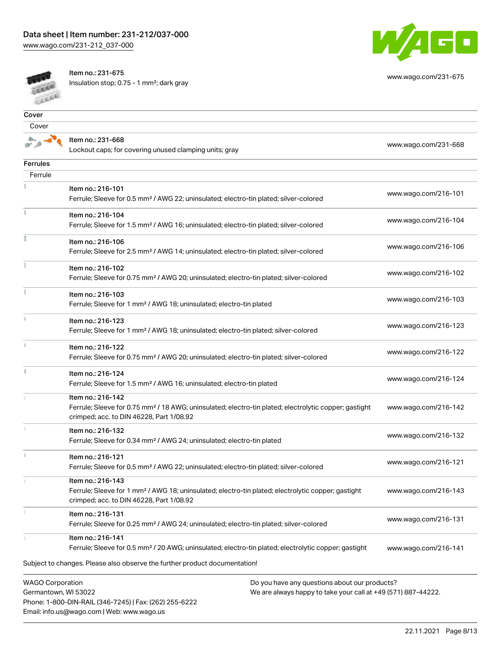[www.wago.com/231-212\\_037-000](http://www.wago.com/231-212_037-000)



Item no.: 231-675

Email: info.us@wago.com | Web: www.wago.us

Insulation stop; 0.75 - 1 mm²; dark gray



[www.wago.com/231-675](http://www.wago.com/231-675)

| Cover                                           |                                                                                                                                                                                                                     |                                                                                                                |                      |
|-------------------------------------------------|---------------------------------------------------------------------------------------------------------------------------------------------------------------------------------------------------------------------|----------------------------------------------------------------------------------------------------------------|----------------------|
| Cover                                           |                                                                                                                                                                                                                     |                                                                                                                |                      |
|                                                 | Item no.: 231-668<br>Lockout caps; for covering unused clamping units; gray                                                                                                                                         |                                                                                                                | www.wago.com/231-668 |
| <b>Ferrules</b>                                 |                                                                                                                                                                                                                     |                                                                                                                |                      |
| Ferrule                                         |                                                                                                                                                                                                                     |                                                                                                                |                      |
|                                                 | Item no.: 216-101                                                                                                                                                                                                   |                                                                                                                |                      |
|                                                 | Ferrule; Sleeve for 0.5 mm <sup>2</sup> / AWG 22; uninsulated; electro-tin plated; silver-colored                                                                                                                   |                                                                                                                | www.wago.com/216-101 |
|                                                 | Item no.: 216-104<br>Ferrule; Sleeve for 1.5 mm <sup>2</sup> / AWG 16; uninsulated; electro-tin plated; silver-colored                                                                                              |                                                                                                                | www.wago.com/216-104 |
|                                                 | Item no.: 216-106<br>Ferrule; Sleeve for 2.5 mm <sup>2</sup> / AWG 14; uninsulated; electro-tin plated; silver-colored                                                                                              |                                                                                                                | www.wago.com/216-106 |
|                                                 | Item no.: 216-102<br>Ferrule; Sleeve for 0.75 mm <sup>2</sup> / AWG 20; uninsulated; electro-tin plated; silver-colored                                                                                             |                                                                                                                | www.wago.com/216-102 |
|                                                 | Item no.: 216-103<br>Ferrule; Sleeve for 1 mm <sup>2</sup> / AWG 18; uninsulated; electro-tin plated                                                                                                                |                                                                                                                | www.wago.com/216-103 |
| î.                                              | Item no.: 216-123<br>Ferrule; Sleeve for 1 mm <sup>2</sup> / AWG 18; uninsulated; electro-tin plated; silver-colored                                                                                                |                                                                                                                | www.wago.com/216-123 |
| ī.                                              | Item no.: 216-122<br>Ferrule; Sleeve for 0.75 mm <sup>2</sup> / AWG 20; uninsulated; electro-tin plated; silver-colored                                                                                             |                                                                                                                | www.wago.com/216-122 |
|                                                 | Item no.: 216-124<br>Ferrule; Sleeve for 1.5 mm <sup>2</sup> / AWG 16; uninsulated; electro-tin plated                                                                                                              |                                                                                                                | www.wago.com/216-124 |
|                                                 | Item no.: 216-142<br>Ferrule; Sleeve for 0.75 mm <sup>2</sup> / 18 AWG; uninsulated; electro-tin plated; electrolytic copper; gastight<br>crimped; acc. to DIN 46228, Part 1/08.92                                  |                                                                                                                | www.wago.com/216-142 |
|                                                 | Item no.: 216-132<br>Ferrule; Sleeve for 0.34 mm <sup>2</sup> / AWG 24; uninsulated; electro-tin plated                                                                                                             |                                                                                                                | www.wago.com/216-132 |
|                                                 | Item no.: 216-121<br>Ferrule; Sleeve for 0.5 mm <sup>2</sup> / AWG 22; uninsulated; electro-tin plated; silver-colored                                                                                              |                                                                                                                | www.wago.com/216-121 |
|                                                 | Item no.: 216-143<br>Ferrule; Sleeve for 1 mm <sup>2</sup> / AWG 18; uninsulated; electro-tin plated; electrolytic copper; gastight<br>crimped; acc. to DIN 46228, Part 1/08.92                                     |                                                                                                                | www.wago.com/216-143 |
|                                                 | Item no.: 216-131<br>Ferrule; Sleeve for 0.25 mm <sup>2</sup> / AWG 24; uninsulated; electro-tin plated; silver-colored                                                                                             |                                                                                                                | www.wago.com/216-131 |
|                                                 | Item no.: 216-141<br>Ferrule; Sleeve for 0.5 mm <sup>2</sup> / 20 AWG; uninsulated; electro-tin plated; electrolytic copper; gastight<br>Subject to changes. Please also observe the further product documentation! |                                                                                                                | www.wago.com/216-141 |
| <b>WAGO Corporation</b><br>Germantown, WI 53022 | Phone: 1-800-DIN-RAIL (346-7245)   Fax: (262) 255-6222                                                                                                                                                              | Do you have any questions about our products?<br>We are always happy to take your call at +49 (571) 887-44222. |                      |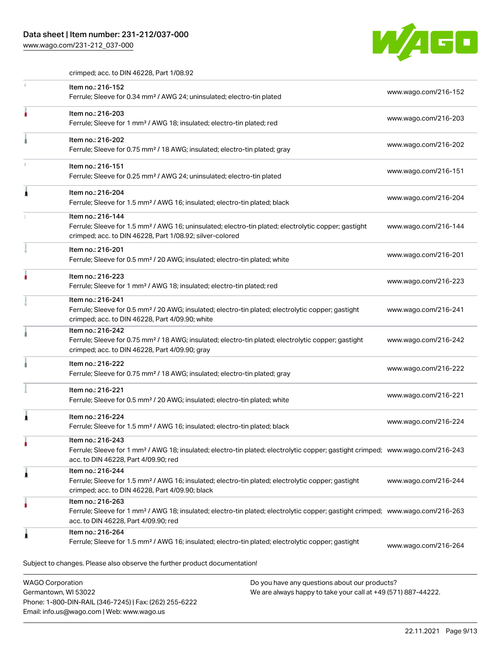## Data sheet | Item number: 231-212/037-000

Phone: 1-800-DIN-RAIL (346-7245) | Fax: (262) 255-6222

Email: info.us@wago.com | Web: www.wago.us

[www.wago.com/231-212\\_037-000](http://www.wago.com/231-212_037-000)



crimped; acc. to DIN 46228, Part 1/08.92

|                                                 | Item no.: 216-152<br>Ferrule; Sleeve for 0.34 mm <sup>2</sup> / AWG 24; uninsulated; electro-tin plated                                                                                                 |                                                                                                                | www.wago.com/216-152 |  |
|-------------------------------------------------|---------------------------------------------------------------------------------------------------------------------------------------------------------------------------------------------------------|----------------------------------------------------------------------------------------------------------------|----------------------|--|
|                                                 | Item no.: 216-203<br>Ferrule; Sleeve for 1 mm <sup>2</sup> / AWG 18; insulated; electro-tin plated; red                                                                                                 |                                                                                                                | www.wago.com/216-203 |  |
|                                                 | Item no.: 216-202<br>Ferrule; Sleeve for 0.75 mm <sup>2</sup> / 18 AWG; insulated; electro-tin plated; gray                                                                                             |                                                                                                                | www.wago.com/216-202 |  |
|                                                 | Item no.: 216-151<br>Ferrule; Sleeve for 0.25 mm <sup>2</sup> / AWG 24; uninsulated; electro-tin plated                                                                                                 |                                                                                                                | www.wago.com/216-151 |  |
|                                                 | Item no.: 216-204<br>Ferrule; Sleeve for 1.5 mm <sup>2</sup> / AWG 16; insulated; electro-tin plated; black                                                                                             |                                                                                                                | www.wago.com/216-204 |  |
|                                                 | Item no.: 216-144<br>Ferrule; Sleeve for 1.5 mm <sup>2</sup> / AWG 16; uninsulated; electro-tin plated; electrolytic copper; gastight<br>crimped; acc. to DIN 46228, Part 1/08.92; silver-colored       |                                                                                                                | www.wago.com/216-144 |  |
|                                                 | Item no.: 216-201<br>Ferrule; Sleeve for 0.5 mm <sup>2</sup> / 20 AWG; insulated; electro-tin plated; white                                                                                             |                                                                                                                | www.wago.com/216-201 |  |
|                                                 | Item no.: 216-223<br>Ferrule; Sleeve for 1 mm <sup>2</sup> / AWG 18; insulated; electro-tin plated; red                                                                                                 |                                                                                                                | www.wago.com/216-223 |  |
|                                                 | Item no.: 216-241<br>Ferrule; Sleeve for 0.5 mm <sup>2</sup> / 20 AWG; insulated; electro-tin plated; electrolytic copper; gastight<br>crimped; acc. to DIN 46228, Part 4/09.90; white                  |                                                                                                                | www.wago.com/216-241 |  |
|                                                 | Item no.: 216-242<br>Ferrule; Sleeve for 0.75 mm <sup>2</sup> / 18 AWG; insulated; electro-tin plated; electrolytic copper; gastight<br>crimped; acc. to DIN 46228, Part 4/09.90; gray                  |                                                                                                                | www.wago.com/216-242 |  |
|                                                 | Item no.: 216-222<br>Ferrule; Sleeve for 0.75 mm <sup>2</sup> / 18 AWG; insulated; electro-tin plated; gray                                                                                             |                                                                                                                | www.wago.com/216-222 |  |
|                                                 | Item no.: 216-221<br>Ferrule; Sleeve for 0.5 mm <sup>2</sup> / 20 AWG; insulated; electro-tin plated; white                                                                                             |                                                                                                                | www.wago.com/216-221 |  |
|                                                 | Item no.: 216-224<br>Ferrule; Sleeve for 1.5 mm <sup>2</sup> / AWG 16; insulated; electro-tin plated; black                                                                                             |                                                                                                                | www.wago.com/216-224 |  |
|                                                 | Item no.: 216-243<br>Ferrule; Sleeve for 1 mm <sup>2</sup> / AWG 18; insulated; electro-tin plated; electrolytic copper; gastight crimped; www.wago.com/216-243<br>acc. to DIN 46228, Part 4/09.90; red |                                                                                                                |                      |  |
|                                                 | Item no.: 216-244<br>Ferrule; Sleeve for 1.5 mm <sup>2</sup> / AWG 16; insulated; electro-tin plated; electrolytic copper; gastight<br>crimped; acc. to DIN 46228, Part 4/09.90; black                  |                                                                                                                | www.wago.com/216-244 |  |
|                                                 | Item no.: 216-263<br>Ferrule; Sleeve for 1 mm <sup>2</sup> / AWG 18; insulated; electro-tin plated; electrolytic copper; gastight crimped; www.wago.com/216-263<br>acc. to DIN 46228, Part 4/09.90; red |                                                                                                                |                      |  |
| 1                                               | Item no.: 216-264<br>Ferrule; Sleeve for 1.5 mm <sup>2</sup> / AWG 16; insulated; electro-tin plated; electrolytic copper; gastight                                                                     |                                                                                                                | www.wago.com/216-264 |  |
|                                                 | Subject to changes. Please also observe the further product documentation!                                                                                                                              |                                                                                                                |                      |  |
| <b>WAGO Corporation</b><br>Germantown, WI 53022 |                                                                                                                                                                                                         | Do you have any questions about our products?<br>We are always happy to take your call at +49 (571) 887-44222. |                      |  |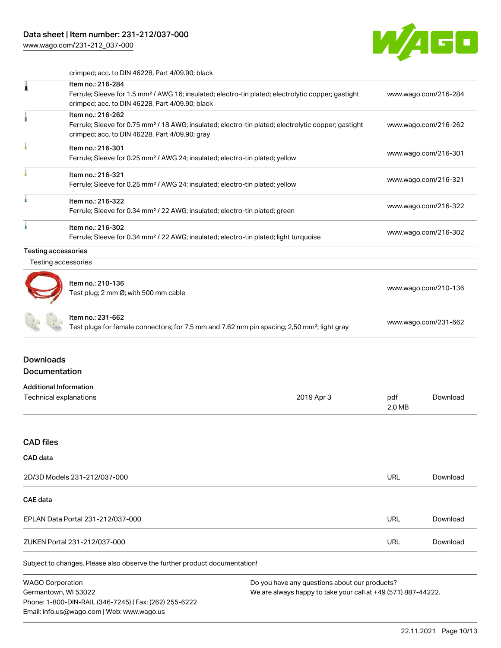Email: info.us@wago.com | Web: www.wago.us

[www.wago.com/231-212\\_037-000](http://www.wago.com/231-212_037-000)



crimped; acc. to DIN 46228, Part 4/09.90; black

| 1                                               | Item no.: 216-284<br>Ferrule; Sleeve for 1.5 mm <sup>2</sup> / AWG 16; insulated; electro-tin plated; electrolytic copper; gastight<br>crimped; acc. to DIN 46228, Part 4/09.90; black |                                                                                                                |                      | www.wago.com/216-284 |
|-------------------------------------------------|----------------------------------------------------------------------------------------------------------------------------------------------------------------------------------------|----------------------------------------------------------------------------------------------------------------|----------------------|----------------------|
|                                                 | Item no.: 216-262<br>Ferrule; Sleeve for 0.75 mm <sup>2</sup> / 18 AWG; insulated; electro-tin plated; electrolytic copper; gastight<br>crimped; acc. to DIN 46228, Part 4/09.90; gray |                                                                                                                |                      | www.wago.com/216-262 |
|                                                 | Item no.: 216-301<br>Ferrule; Sleeve for 0.25 mm <sup>2</sup> / AWG 24; insulated; electro-tin plated; yellow                                                                          |                                                                                                                | www.wago.com/216-301 |                      |
|                                                 | Item no.: 216-321<br>Ferrule; Sleeve for 0.25 mm <sup>2</sup> / AWG 24; insulated; electro-tin plated; yellow                                                                          |                                                                                                                | www.wago.com/216-321 |                      |
|                                                 | Item no.: 216-322<br>Ferrule; Sleeve for 0.34 mm <sup>2</sup> / 22 AWG; insulated; electro-tin plated; green                                                                           |                                                                                                                | www.wago.com/216-322 |                      |
|                                                 | Item no.: 216-302<br>Ferrule; Sleeve for 0.34 mm <sup>2</sup> / 22 AWG; insulated; electro-tin plated; light turquoise                                                                 |                                                                                                                | www.wago.com/216-302 |                      |
| <b>Testing accessories</b>                      |                                                                                                                                                                                        |                                                                                                                |                      |                      |
| Testing accessories                             |                                                                                                                                                                                        |                                                                                                                |                      |                      |
|                                                 | Item no.: 210-136<br>Test plug; 2 mm Ø; with 500 mm cable                                                                                                                              |                                                                                                                | www.wago.com/210-136 |                      |
|                                                 | Item no.: 231-662<br>Test plugs for female connectors; for 7.5 mm and 7.62 mm pin spacing; 2,50 mm <sup>2</sup> ; light gray                                                           |                                                                                                                | www.wago.com/231-662 |                      |
| <b>Downloads</b><br>Documentation               |                                                                                                                                                                                        |                                                                                                                |                      |                      |
| <b>Additional Information</b>                   |                                                                                                                                                                                        |                                                                                                                |                      |                      |
| Technical explanations                          |                                                                                                                                                                                        | 2019 Apr 3                                                                                                     | pdf<br>2.0 MB        | Download             |
| <b>CAD files</b>                                |                                                                                                                                                                                        |                                                                                                                |                      |                      |
| CAD data                                        |                                                                                                                                                                                        |                                                                                                                |                      |                      |
| 2D/3D Models 231-212/037-000                    |                                                                                                                                                                                        |                                                                                                                | URL                  | Download             |
| <b>CAE</b> data                                 |                                                                                                                                                                                        |                                                                                                                |                      |                      |
| EPLAN Data Portal 231-212/037-000               |                                                                                                                                                                                        |                                                                                                                | URL                  | Download             |
| ZUKEN Portal 231-212/037-000                    |                                                                                                                                                                                        |                                                                                                                | <b>URL</b>           | Download             |
|                                                 | Subject to changes. Please also observe the further product documentation!                                                                                                             |                                                                                                                |                      |                      |
| <b>WAGO Corporation</b><br>Germantown, WI 53022 | Phone: 1-800-DIN-RAIL (346-7245)   Fax: (262) 255-6222                                                                                                                                 | Do you have any questions about our products?<br>We are always happy to take your call at +49 (571) 887-44222. |                      |                      |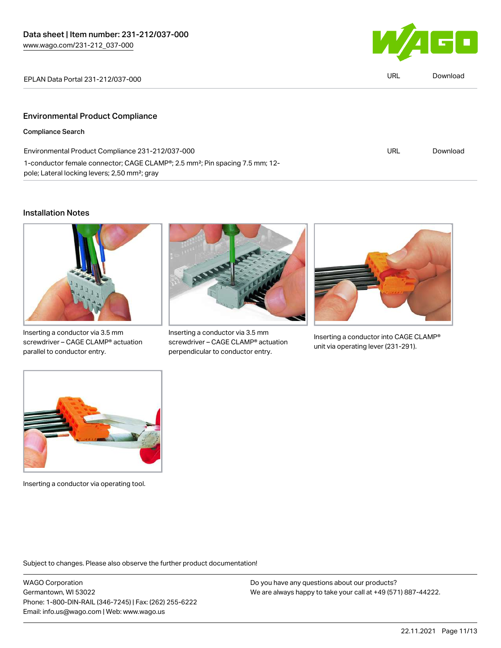1-conductor female connector; CAGE CLAMP®; 2.5 mm²; Pin spacing 7.5 mm; 12-



| EPLAN Data Portal 231-212/037-000                | URL | Download |
|--------------------------------------------------|-----|----------|
|                                                  |     |          |
| <b>Environmental Product Compliance</b>          |     |          |
| <b>Compliance Search</b>                         |     |          |
| Environmental Product Compliance 231-212/037-000 | URL | Download |

#### Installation Notes



pole; Lateral locking levers; 2,50 mm²; gray

Inserting a conductor via 3.5 mm screwdriver – CAGE CLAMP® actuation parallel to conductor entry.



Inserting a conductor via 3.5 mm screwdriver – CAGE CLAMP® actuation perpendicular to conductor entry.



Inserting a conductor into CAGE CLAMP® unit via operating lever (231-291).



Inserting a conductor via operating tool.

Subject to changes. Please also observe the further product documentation!

WAGO Corporation Germantown, WI 53022 Phone: 1-800-DIN-RAIL (346-7245) | Fax: (262) 255-6222 Email: info.us@wago.com | Web: www.wago.us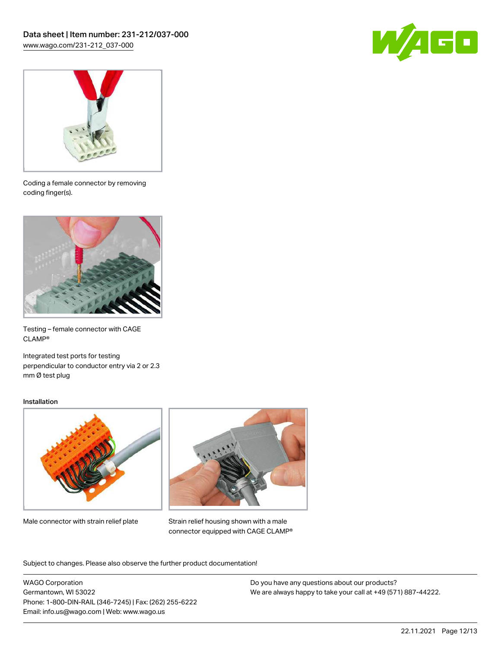



Coding a female connector by removing coding finger(s).



Testing – female connector with CAGE CLAMP®

Integrated test ports for testing perpendicular to conductor entry via 2 or 2.3 mm Ø test plug

#### Installation



Male connector with strain relief plate



Strain relief housing shown with a male connector equipped with CAGE CLAMP®

Subject to changes. Please also observe the further product documentation!

WAGO Corporation Germantown, WI 53022 Phone: 1-800-DIN-RAIL (346-7245) | Fax: (262) 255-6222 Email: info.us@wago.com | Web: www.wago.us